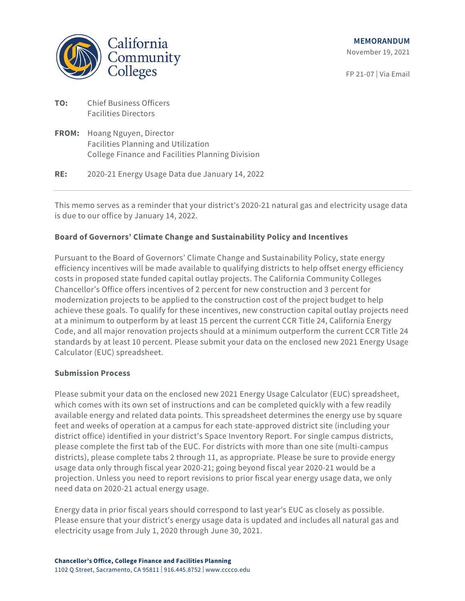

FP 21-07 | Via Email

| TO: | <b>Chief Business Officers</b> |
|-----|--------------------------------|
|     | <b>Facilities Directors</b>    |

**FROM:** Hoang Nguyen, Director Facilities Planning and Utilization College Finance and Facilities Planning Division

**RE:** 2020-21 Energy Usage Data due January 14, 2022

This memo serves as a reminder that your district's 2020-21 natural gas and electricity usage data is due to our office by January 14, 2022.

## **Board of Governors' Climate Change and Sustainability Policy and Incentives**

Pursuant to the Board of Governors' Climate Change and Sustainability Policy, state energy efficiency incentives will be made available to qualifying districts to help offset energy efficiency costs in proposed state funded capital outlay projects. The California Community Colleges Chancellor's Office offers incentives of 2 percent for new construction and 3 percent for modernization projects to be applied to the construction cost of the project budget to help achieve these goals. To qualify for these incentives, new construction capital outlay projects need at a minimum to outperform by at least 15 percent the current CCR Title 24, California Energy Code, and all major renovation projects should at a minimum outperform the current CCR Title 24 standards by at least 10 percent. Please submit your data on the enclosed new 2021 Energy Usage Calculator (EUC) spreadsheet.

## **Submission Process**

Please submit your data on the enclosed new 2021 Energy Usage Calculator (EUC) spreadsheet, which comes with its own set of instructions and can be completed quickly with a few readily available energy and related data points. This spreadsheet determines the energy use by square feet and weeks of operation at a campus for each state-approved district site (including your district office) identified in your district's Space Inventory Report. For single campus districts, please complete the first tab of the EUC. For districts with more than one site (multi-campus districts), please complete tabs 2 through 11, as appropriate. Please be sure to provide energy usage data only through fiscal year 2020-21; going beyond fiscal year 2020-21 would be a projection. Unless you need to report revisions to prior fiscal year energy usage data, we only need data on 2020-21 actual energy usage.

Energy data in prior fiscal years should correspond to last year's EUC as closely as possible. Please ensure that your district's energy usage data is updated and includes all natural gas and electricity usage from July 1, 2020 through June 30, 2021.